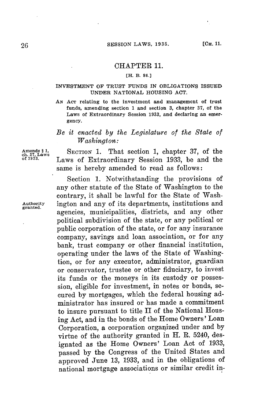## CHAPTER 11.

## **[H. B3. 86.]**

## **INVESTMENT OF TRUST FUNDS IN OBLIGATIONS ISSUED UNDER NATIONAL HOUSING ACT.**

**AN AcT relating to the investment and management of trust funds, amending section 1 and section 3, chapter 37, of the Laws of Extraordinary Session 1933, and declaring an emergency.**

## *Be it enacted by the Legislature of the State of Washington:*

Amends 5.1, SECTION 1. That section 1, chapter 37, of the ch. 37, Laws Ch. 7, Laws Ch. 7, **Ch.** 8, 2014 **of u3.** Laws of Extraordinary Session **1933,** be and the same is hereby amended to read as follows:

Section **1.** Notwithstanding the provisions of any other statute of the State of Washington to the contrary, it shall be lawful for the State of Wash-**Authority** ington and any of its departments, institutions and **granted.** agencies, municipalities, districts, and any other political subdivision of the state, or any political or public corporation of the state, or for any insurance company, savings and loan association, or for any bank, trust company or other financial institution, operating under the laws of the State of Washingtion, or for any executor, administrator, guardian or conservator, trustee or other fiduciary, to invest **its** funds or the moneys in its custody or possession, eligible for investment, in notes or bonds, secured **by** mortgages, which the federal housing administrator has insured or has made a commitment to insure pursuant to title II of the National Housing Act, and in the bonds of the Home Owners' Loan Corporation, a corporation organized under and **by** virtue of the authority granted in H. R. 5240, designated as the Home Owners' Loan Act of **1933,** passed **by** the Congress of the United States and approved June **13, 1933,** and in the obligations of national mortgage associations or similar credit in-